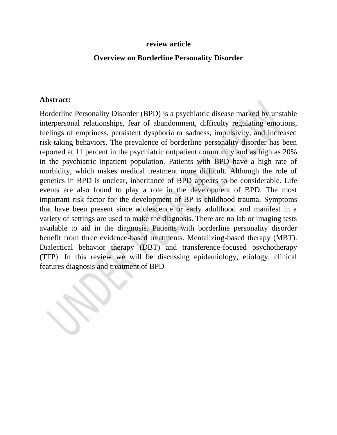#### **review article**

### **Overview on Borderline Personality Disorder**

#### **Abstract:**

Borderline Personality Disorder (BPD) is a psychiatric disease marked by unstable interpersonal relationships, fear of abandonment, difficulty regulating emotions, feelings of emptiness, persistent dysphoria or sadness, impulsivity, and increased risk-taking behaviors. The prevalence of borderline personality disorder has been reported at 11 percent in the psychiatric outpatient community and as high as 20% in the psychiatric inpatient population. Patients with BPD have a high rate of morbidity, which makes medical treatment more difficult. Although the role of genetics in BPD is unclear, inheritance of BPD appears to be considerable. Life events are also found to play a role in the development of BPD. The most important risk factor for the development of BP is childhood trauma. Symptoms that have been present since adolescence or early adulthood and manifest in a variety of settings are used to make the diagnosis. There are no lab or imaging tests available to aid in the diagnosis. Patients with borderline personality disorder benefit from three evidence-based treatments. Mentalizing-based therapy (MBT). Dialectical behavior therapy (DBT) and transference-focused psychotherapy (TFP). In this review we will be discussing epidemiology, etiology, clinical features diagnosis and treatment of BPD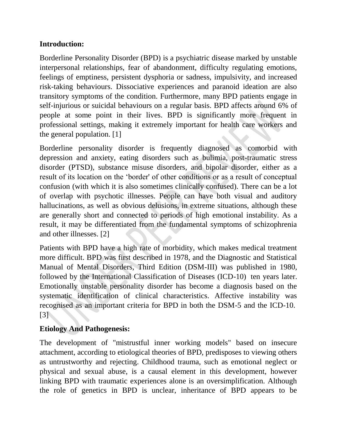# **Introduction:**

Borderline Personality Disorder (BPD) is a psychiatric disease marked by unstable interpersonal relationships, fear of abandonment, difficulty regulating emotions, feelings of emptiness, persistent dysphoria or sadness, impulsivity, and increased risk-taking behaviours. Dissociative experiences and paranoid ideation are also transitory symptoms of the condition. Furthermore, many BPD patients engage in self-injurious or suicidal behaviours on a regular basis. BPD affects around 6% of people at some point in their lives. BPD is significantly more frequent in professional settings, making it extremely important for health care workers and the general population. [1]

Borderline personality disorder is frequently diagnosed as comorbid with depression and anxiety, eating disorders such as bulimia, post-traumatic stress disorder (PTSD), substance misuse disorders, and bipolar disorder, either as a result of its location on the 'border' of other conditions or as a result of conceptual confusion (with which it is also sometimes clinically confused). There can be a lot of overlap with psychotic illnesses. People can have both visual and auditory hallucinations, as well as obvious delusions, in extreme situations, although these are generally short and connected to periods of high emotional instability. As a result, it may be differentiated from the fundamental symptoms of schizophrenia and other illnesses. [2]

Patients with BPD have a high rate of morbidity, which makes medical treatment more difficult. BPD was first described in 1978, and the Diagnostic and Statistical Manual of Mental Disorders, Third Edition (DSM-III) was published in 1980, followed by the International Classification of Diseases (ICD-10) ten years later. Emotionally unstable personality disorder has become a diagnosis based on the systematic identification of clinical characteristics. Affective instability was recognised as an important criteria for BPD in both the DSM-5 and the ICD-10.  $[3]$ 

# **Etiology And Pathogenesis:**

The development of "mistrustful inner working models" based on insecure attachment, according to etiological theories of BPD, predisposes to viewing others as untrustworthy and rejecting. Childhood trauma, such as emotional neglect or physical and sexual abuse, is a causal element in this development, however linking BPD with traumatic experiences alone is an oversimplification. Although the role of genetics in BPD is unclear, inheritance of BPD appears to be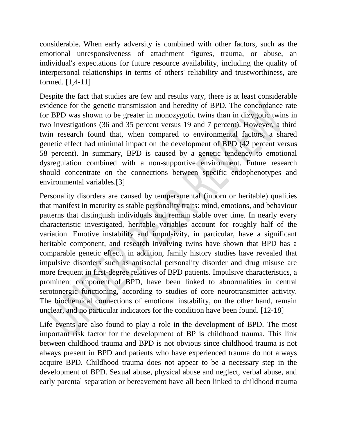considerable. When early adversity is combined with other factors, such as the emotional unresponsiveness of attachment figures, trauma, or abuse, an individual's expectations for future resource availability, including the quality of interpersonal relationships in terms of others' reliability and trustworthiness, are formed. [1,4-11]

Despite the fact that studies are few and results vary, there is at least considerable evidence for the genetic transmission and heredity of BPD. The concordance rate for BPD was shown to be greater in monozygotic twins than in dizygotic twins in two investigations (36 and 35 percent versus 19 and 7 percent). However, a third twin research found that, when compared to environmental factors, a shared genetic effect had minimal impact on the development of BPD (42 percent versus 58 percent). In summary, BPD is caused by a genetic tendency to emotional dysregulation combined with a non-supportive environment. Future research should concentrate on the connections between specific endophenotypes and environmental variables.[3]

Personality disorders are caused by temperamental (inborn or heritable) qualities that manifest in maturity as stable personality traits: mind, emotions, and behaviour patterns that distinguish individuals and remain stable over time. In nearly every characteristic investigated, heritable variables account for roughly half of the variation. Emotive instability and impulsivity, in particular, have a significant heritable component, and research involving twins have shown that BPD has a comparable genetic effect. in addition, family history studies have revealed that impulsive disorders such as antisocial personality disorder and drug misuse are more frequent in first-degree relatives of BPD patients. Impulsive characteristics, a prominent component of BPD, have been linked to abnormalities in central serotonergic functioning, according to studies of core neurotransmitter activity. The biochemical connections of emotional instability, on the other hand, remain unclear, and no particular indicators for the condition have been found. [12-18]

Life events are also found to play a role in the development of BPD. The most important risk factor for the development of BP is childhood trauma. This link between childhood trauma and BPD is not obvious since childhood trauma is not always present in BPD and patients who have experienced trauma do not always acquire BPD. Childhood trauma does not appear to be a necessary step in the development of BPD. Sexual abuse, physical abuse and neglect, verbal abuse, and early parental separation or bereavement have all been linked to childhood trauma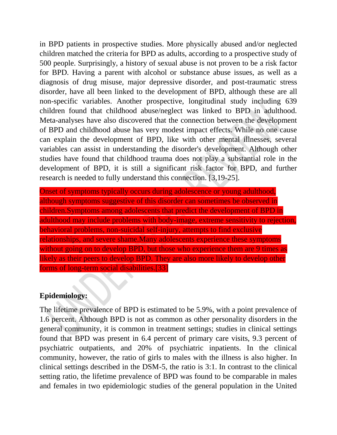in BPD patients in prospective studies. More physically abused and/or neglected children matched the criteria for BPD as adults, according to a prospective study of 500 people. Surprisingly, a history of sexual abuse is not proven to be a risk factor for BPD. Having a parent with alcohol or substance abuse issues, as well as a diagnosis of drug misuse, major depressive disorder, and post-traumatic stress disorder, have all been linked to the development of BPD, although these are all non-specific variables. Another prospective, longitudinal study including 639 children found that childhood abuse/neglect was linked to BPD in adulthood. Meta-analyses have also discovered that the connection between the development of BPD and childhood abuse has very modest impact effects. While no one cause can explain the development of BPD, like with other mental illnesses, several variables can assist in understanding the disorder's development. Although other studies have found that childhood trauma does not play a substantial role in the development of BPD, it is still a significant risk factor for BPD, and further research is needed to fully understand this connection. [3,19-25].

Onset of symptoms typically occurs during adolescence or young adulthood, although symptoms suggestive of this disorder can sometimes be observed in children.Symptoms among adolescents that predict the development of BPD in adulthood may include problems with body-image, extreme sensitivity to rejection, behavioral problems, non-suicidal self-injury, attempts to find exclusive relationships, and severe shame.Many adolescents experience these symptoms without going on to develop BPD, but those who experience them are 9 times as likely as their peers to develop BPD. They are also more likely to develop other forms of long-term social disabilities.[33]

### **Epidemiology:**

The lifetime prevalence of BPD is estimated to be 5.9%, with a point prevalence of 1.6 percent. Although BPD is not as common as other personality disorders in the general community, it is common in treatment settings; studies in clinical settings found that BPD was present in 6.4 percent of primary care visits, 9.3 percent of psychiatric outpatients, and 20% of psychiatric inpatients. In the clinical community, however, the ratio of girls to males with the illness is also higher. In clinical settings described in the DSM-5, the ratio is 3:1. In contrast to the clinical setting ratio, the lifetime prevalence of BPD was found to be comparable in males and females in two epidemiologic studies of the general population in the United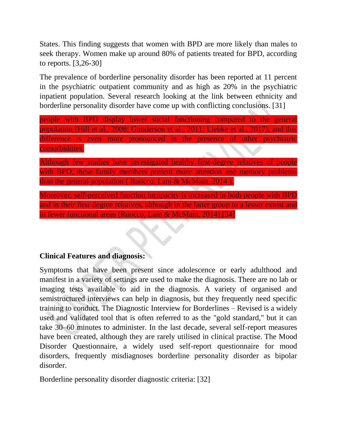States. This finding suggests that women with BPD are more likely than males to seek therapy. Women make up around 80% of patients treated for BPD, according to reports. [3,26-30]

The prevalence of borderline personality disorder has been reported at 11 percent in the psychiatric outpatient community and as high as 20% in the psychiatric inpatient population. Several research looking at the link between ethnicity and borderline personality disorder have come up with conflicting conclusions. [31]

people with BPD display lower social functioning compared to the general population (Hill et al., 2008; Gunderson et al., 2011; Liebke et al., 2017), and this difference is even more pronounced in the presence of other psychiatric comorbidities,

Although few studies have investigated healthy first-degree relatives of people with BPD, these family members present more attention and memory problems than the general population ( Ruocco, Lam & McMain, 2014 ).

Moreover, self-perceived function incapacity is increased in both people with BPD and in their first-degree relatives, although in the latter group to a lesser extent and in fewer functional areas (Ruocco, Lam & McMain, 2014).[34]

# **Clinical Features and diagnosis:**

Symptoms that have been present since adolescence or early adulthood and manifest in a variety of settings are used to make the diagnosis. There are no lab or imaging tests available to aid in the diagnosis. A variety of organised and semistructured interviews can help in diagnosis, but they frequently need specific training to conduct. The Diagnostic Interview for Borderlines – Revised is a widely used and validated tool that is often referred to as the "gold standard," but it can take 30–60 minutes to administer. In the last decade, several self-report measures have been created, although they are rarely utilised in clinical practise. The Mood Disorder Questionnaire, a widely used self-report questionnaire for mood disorders, frequently misdiagnoses borderline personality disorder as bipolar disorder.

Borderline personality disorder diagnostic criteria: [32]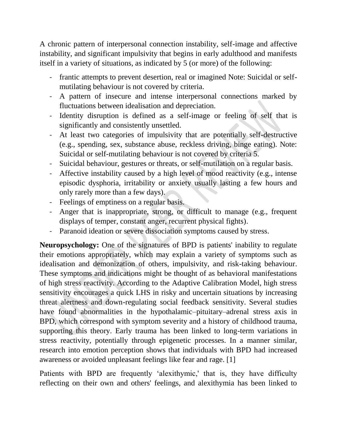A chronic pattern of interpersonal connection instability, self-image and affective instability, and significant impulsivity that begins in early adulthood and manifests itself in a variety of situations, as indicated by 5 (or more) of the following:

- frantic attempts to prevent desertion, real or imagined Note: Suicidal or selfmutilating behaviour is not covered by criteria.
- A pattern of insecure and intense interpersonal connections marked by fluctuations between idealisation and depreciation.
- Identity disruption is defined as a self-image or feeling of self that is significantly and consistently unsettled.
- At least two categories of impulsivity that are potentially self-destructive (e.g., spending, sex, substance abuse, reckless driving, binge eating). Note: Suicidal or self-mutilating behaviour is not covered by criteria 5.
- Suicidal behaviour, gestures or threats, or self-mutilation on a regular basis.
- Affective instability caused by a high level of mood reactivity (e.g., intense episodic dysphoria, irritability or anxiety usually lasting a few hours and only rarely more than a few days).
- Feelings of emptiness on a regular basis.
- Anger that is inappropriate, strong, or difficult to manage (e.g., frequent displays of temper, constant anger, recurrent physical fights).
- Paranoid ideation or severe dissociation symptoms caused by stress.

**Neuropsychology:** One of the signatures of BPD is patients' inability to regulate their emotions appropriately, which may explain a variety of symptoms such as idealisation and demonization of others, impulsivity, and risk-taking behaviour. These symptoms and indications might be thought of as behavioral manifestations of high stress reactivity. According to the Adaptive Calibration Model, high stress sensitivity encourages a quick LHS in risky and uncertain situations by increasing threat alertness and down-regulating social feedback sensitivity. Several studies have found abnormalities in the hypothalamic–pituitary–adrenal stress axis in BPD, which correspond with symptom severity and a history of childhood trauma, supporting this theory. Early trauma has been linked to long-term variations in stress reactivity, potentially through epigenetic processes. In a manner similar, research into emotion perception shows that individuals with BPD had increased awareness or avoided unpleasant feelings like fear and rage. [1]

Patients with BPD are frequently 'alexithymic,' that is, they have difficulty reflecting on their own and others' feelings, and alexithymia has been linked to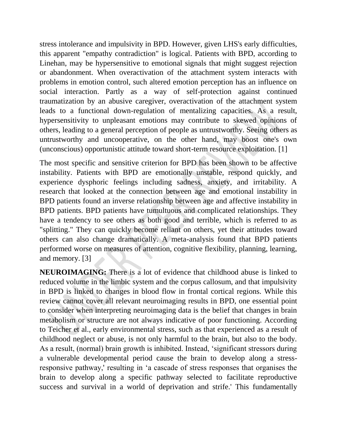stress intolerance and impulsivity in BPD. However, given LHS's early difficulties, this apparent "empathy contradiction" is logical. Patients with BPD, according to Linehan, may be hypersensitive to emotional signals that might suggest rejection or abandonment. When overactivation of the attachment system interacts with problems in emotion control, such altered emotion perception has an influence on social interaction. Partly as a way of self-protection against continued traumatization by an abusive caregiver, overactivation of the attachment system leads to a functional down-regulation of mentalizing capacities. As a result, hypersensitivity to unpleasant emotions may contribute to skewed opinions of others, leading to a general perception of people as untrustworthy. Seeing others as untrustworthy and uncooperative, on the other hand, may boost one's own (unconscious) opportunistic attitude toward short-term resource exploitation. [1]

The most specific and sensitive criterion for BPD has been shown to be affective instability. Patients with BPD are emotionally unstable, respond quickly, and experience dysphoric feelings including sadness, anxiety, and irritability. A research that looked at the connection between age and emotional instability in BPD patients found an inverse relationship between age and affective instability in BPD patients. BPD patients have tumultuous and complicated relationships. They have a tendency to see others as both good and terrible, which is referred to as "splitting." They can quickly become reliant on others, yet their attitudes toward others can also change dramatically. A meta-analysis found that BPD patients performed worse on measures of attention, cognitive flexibility, planning, learning, and memory. [3]

**NEUROIMAGING:** There is a lot of evidence that childhood abuse is linked to reduced volume in the limbic system and the corpus callosum, and that impulsivity in BPD is linked to changes in blood flow in frontal cortical regions. While this review cannot cover all relevant neuroimaging results in BPD, one essential point to consider when interpreting neuroimaging data is the belief that changes in brain metabolism or structure are not always indicative of poor functioning. According to Teicher et al., early environmental stress, such as that experienced as a result of childhood neglect or abuse, is not only harmful to the brain, but also to the body. As a result, (normal) brain growth is inhibited. Instead, 'significant stressors during a vulnerable developmental period cause the brain to develop along a stressresponsive pathway,' resulting in 'a cascade of stress responses that organises the brain to develop along a specific pathway selected to facilitate reproductive success and survival in a world of deprivation and strife.' This fundamentally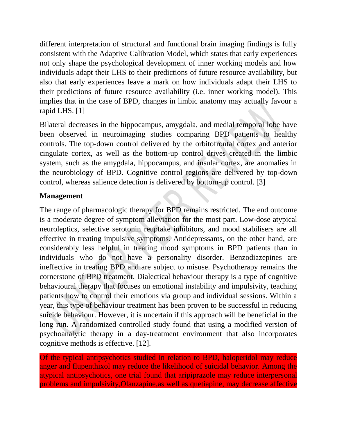different interpretation of structural and functional brain imaging findings is fully consistent with the Adaptive Calibration Model, which states that early experiences not only shape the psychological development of inner working models and how individuals adapt their LHS to their predictions of future resource availability, but also that early experiences leave a mark on how individuals adapt their LHS to their predictions of future resource availability (i.e. inner working model). This implies that in the case of BPD, changes in limbic anatomy may actually favour a rapid LHS. [1]

Bilateral decreases in the hippocampus, amygdala, and medial temporal lobe have been observed in neuroimaging studies comparing BPD patients to healthy controls. The top-down control delivered by the orbitofrontal cortex and anterior cingulate cortex, as well as the bottom-up control drives created in the limbic system, such as the amygdala, hippocampus, and insular cortex, are anomalies in the neurobiology of BPD. Cognitive control regions are delivered by top-down control, whereas salience detection is delivered by bottom-up control. [3]

# **Management**

The range of pharmacologic therapy for BPD remains restricted. The end outcome is a moderate degree of symptom alleviation for the most part. Low-dose atypical neuroleptics, selective serotonin reuptake inhibitors, and mood stabilisers are all effective in treating impulsive symptoms. Antidepressants, on the other hand, are considerably less helpful in treating mood symptoms in BPD patients than in individuals who do not have a personality disorder. Benzodiazepines are ineffective in treating BPD and are subject to misuse. Psychotherapy remains the cornerstone of BPD treatment. Dialectical behaviour therapy is a type of cognitive behavioural therapy that focuses on emotional instability and impulsivity, teaching patients how to control their emotions via group and individual sessions. Within a year, this type of behaviour treatment has been proven to be successful in reducing suicide behaviour. However, it is uncertain if this approach will be beneficial in the long run. A randomized controlled study found that using a modified version of psychoanalytic therapy in a day-treatment environment that also incorporates cognitive methods is effective. [12].

Of the typical antipsychotics studied in relation to BPD, haloperidol may reduce anger and flupenthixol may reduce the likelihood of suicidal behavior. Among the atypical antipsychotics, one trial found that aripiprazole may reduce interpersonal problems and impulsivity,Olanzapine,as well as quetiapine, may decrease affective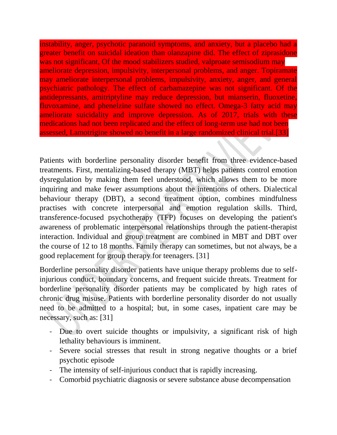instability, anger, psychotic paranoid symptoms, and anxiety, but a placebo had a greater benefit on suicidal ideation than olanzapine did. The effect of ziprasidone was not significant, Of the mood stabilizers studied, valproate semisodium may ameliorate depression, impulsivity, interpersonal problems, and anger. Topiramate may ameliorate interpersonal problems, impulsivity, anxiety, anger, and general psychiatric pathology. The effect of carbamazepine was not significant. Of the antidepressants, amitriptyline may reduce depression, but mianserin, fluoxetine, fluvoxamine, and phenelzine sulfate showed no effect. Omega-3 fatty acid may ameliorate suicidality and improve depression. As of 2017, trials with these medications had not been replicated and the effect of long-term use had not been assessed, Lamotrigine showed no benefit in a large randomized clinical trial.[33]

Patients with borderline personality disorder benefit from three evidence-based treatments. First, mentalizing-based therapy (MBT) helps patients control emotion dysregulation by making them feel understood, which allows them to be more inquiring and make fewer assumptions about the intentions of others. Dialectical behaviour therapy (DBT), a second treatment option, combines mindfulness practises with concrete interpersonal and emotion regulation skills. Third, transference-focused psychotherapy (TFP) focuses on developing the patient's awareness of problematic interpersonal relationships through the patient-therapist interaction. Individual and group treatment are combined in MBT and DBT over the course of 12 to 18 months. Family therapy can sometimes, but not always, be a good replacement for group therapy for teenagers. [31]

Borderline personality disorder patients have unique therapy problems due to selfinjurious conduct, boundary concerns, and frequent suicide threats. Treatment for borderline personality disorder patients may be complicated by high rates of chronic drug misuse. Patients with borderline personality disorder do not usually need to be admitted to a hospital; but, in some cases, inpatient care may be necessary, such as: [31]

- Due to overt suicide thoughts or impulsivity, a significant risk of high lethality behaviours is imminent.
- Severe social stresses that result in strong negative thoughts or a brief psychotic episode
- The intensity of self-injurious conduct that is rapidly increasing.
- Comorbid psychiatric diagnosis or severe substance abuse decompensation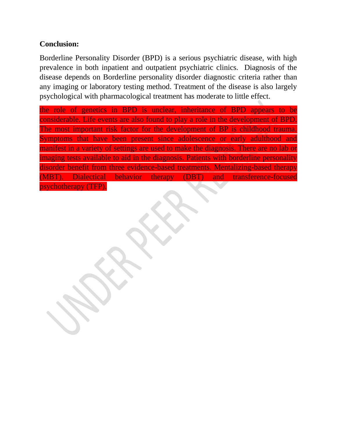## **Conclusion:**

Borderline Personality Disorder (BPD) is a serious psychiatric disease, with high prevalence in both inpatient and outpatient psychiatric clinics. Diagnosis of the disease depends on Borderline personality disorder diagnostic criteria rather than any imaging or laboratory testing method. Treatment of the disease is also largely psychological with pharmacological treatment has moderate to little effect.

the role of genetics in BPD is unclear, inheritance of BPD appears to be considerable. Life events are also found to play a role in the development of BPD. The most important risk factor for the development of BP is childhood trauma. Symptoms that have been present since adolescence or early adulthood and manifest in a variety of settings are used to make the diagnosis. There are no lab or imaging tests available to aid in the diagnosis. Patients with borderline personality disorder benefit from three evidence-based treatments. Mentalizing-based therapy (MBT). Dialectical behavior therapy (DBT) and transference-focused psychotherapy (TFP).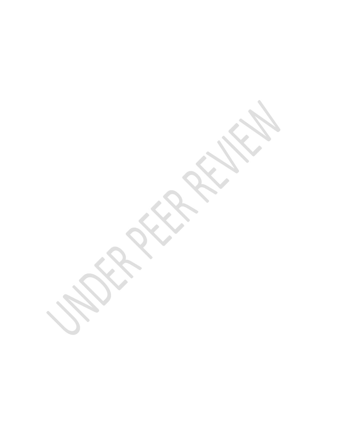$\lambda$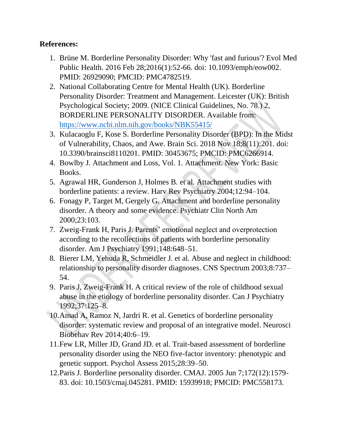## **References:**

- 1. Brüne M. Borderline Personality Disorder: Why 'fast and furious'? Evol Med Public Health. 2016 Feb 28;2016(1):52-66. doi: 10.1093/emph/eow002. PMID: 26929090; PMCID: PMC4782519.
- 2. National Collaborating Centre for Mental Health (UK). Borderline Personality Disorder: Treatment and Management. Leicester (UK): British Psychological Society; 2009. (NICE Clinical Guidelines, No. 78.) 2, BORDERLINE PERSONALITY DISORDER. Available from: <https://www.ncbi.nlm.nih.gov/books/NBK55415/>
- 3. Kulacaoglu F, Kose S. Borderline Personality Disorder (BPD): In the Midst of Vulnerability, Chaos, and Awe. Brain Sci. 2018 Nov 18;8(11):201. doi: 10.3390/brainsci8110201. PMID: 30453675; PMCID: PMC6266914.
- 4. Bowlby J. Attachment and Loss, Vol. 1. Attachment. New York: Basic Books.
- 5. Agrawal HR, Gunderson J, Holmes B. et al. Attachment studies with borderline patients: a review. Harv Rev Psychiatry 2004;12:94–104.
- 6. Fonagy P, Target M, Gergely G. Attachment and borderline personality disorder. A theory and some evidence. Psychiatr Clin North Am 2000;23:103.
- 7. Zweig-Frank H, Paris J. Parents' emotional neglect and overprotection according to the recollections of patients with borderline personality disorder. Am J Psychiatry 1991;148:648–51.
- 8. Bierer LM, Yehuda R, Schmeidler J. et al. Abuse and neglect in childhood: relationship to personality disorder diagnoses. CNS Spectrum 2003;8:737– 54.
- 9. Paris J, Zweig-Frank H. A critical review of the role of childhood sexual abuse in the etiology of borderline personality disorder. Can J Psychiatry 1992;37:125–8.
- 10.Amad A, Ramoz N, Jardri R. et al. Genetics of borderline personality disorder: systematic review and proposal of an integrative model. Neurosci Biobehav Rev 2014;40:6–19.
- 11.Few LR, Miller JD, Grand JD. et al. Trait-based assessment of borderline personality disorder using the NEO five-factor inventory: phenotypic and genetic support. Psychol Assess 2015;28:39–50.
- 12.Paris J. Borderline personality disorder. CMAJ. 2005 Jun 7;172(12):1579- 83. doi: 10.1503/cmaj.045281. PMID: 15939918; PMCID: PMC558173.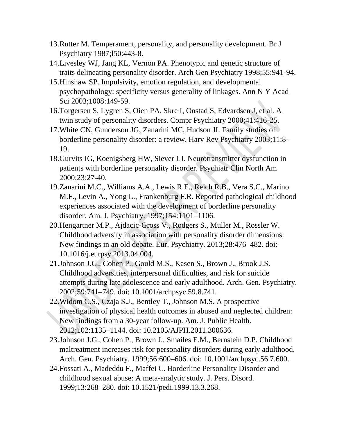- 13.Rutter M. Temperament, personality, and personality development. Br J Psychiatry 1987;l50:443-8.
- 14.Livesley WJ, Jang KL, Vernon PA. Phenotypic and genetic structure of traits delineating personality disorder. Arch Gen Psychiatry 1998;55:941-94.
- 15.Hinshaw SP. Impulsivity, emotion regulation, and developmental psychopathology: specificity versus generality of linkages. Ann N Y Acad Sci 2003;1008:149-59.
- 16.Torgersen S, Lygren S, Oien PA, Skre I, Onstad S, Edvardsen J, et al. A twin study of personality disorders. Compr Psychiatry 2000;41:416-25.
- 17.White CN, Gunderson JG, Zanarini MC, Hudson JI. Family studies of borderline personality disorder: a review. Harv Rev Psychiatry 2003;11:8- 19.
- 18.Gurvits IG, Koenigsberg HW, Siever LJ. Neurotransmitter dysfunction in patients with borderline personality disorder. Psychiatr Clin North Am 2000;23:27-40.
- 19.Zanarini M.C., Williams A.A., Lewis R.E., Reich R.B., Vera S.C., Marino M.F., Levin A., Yong L., Frankenburg F.R. Reported pathological childhood experiences associated with the development of borderline personality disorder. Am. J. Psychiatry. 1997;154:1101–1106.
- 20.Hengartner M.P., Ajdacic-Gross V., Rodgers S., Muller M., Rossler W. Childhood adversity in association with personality disorder dimensions: New findings in an old debate. Eur. Psychiatry. 2013;28:476–482. doi: 10.1016/j.eurpsy.2013.04.004.
- 21.Johnson J.G., Cohen P., Gould M.S., Kasen S., Brown J., Brook J.S. Childhood adversities, interpersonal difficulties, and risk for suicide attempts during late adolescence and early adulthood. Arch. Gen. Psychiatry. 2002;59:741–749. doi: 10.1001/archpsyc.59.8.741.
- 22.Widom C.S., Czaja S.J., Bentley T., Johnson M.S. A prospective investigation of physical health outcomes in abused and neglected children: New findings from a 30-year follow-up. Am. J. Public Health. 2012;102:1135–1144. doi: 10.2105/AJPH.2011.300636.
- 23.Johnson J.G., Cohen P., Brown J., Smailes E.M., Bernstein D.P. Childhood maltreatment increases risk for personality disorders during early adulthood. Arch. Gen. Psychiatry. 1999;56:600–606. doi: 10.1001/archpsyc.56.7.600.
- 24.Fossati A., Madeddu F., Maffei C. Borderline Personality Disorder and childhood sexual abuse: A meta-analytic study. J. Pers. Disord. 1999;13:268–280. doi: 10.1521/pedi.1999.13.3.268.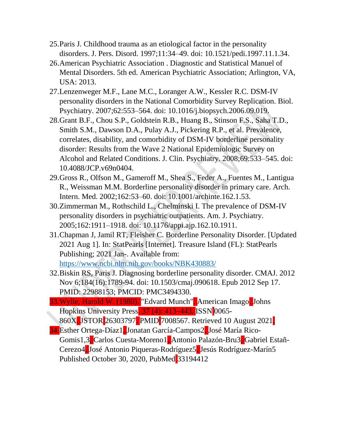- 25.Paris J. Childhood trauma as an etiological factor in the personality disorders. J. Pers. Disord. 1997;11:34–49. doi: 10.1521/pedi.1997.11.1.34.
- 26.American Psychiatric Association . Diagnostic and Statistical Manuel of Mental Disorders. 5th ed. American Psychiatric Association; Arlington, VA, USA: 2013.
- 27.Lenzenweger M.F., Lane M.C., Loranger A.W., Kessler R.C. DSM-IV personality disorders in the National Comorbidity Survey Replication. Biol. Psychiatry. 2007;62:553–564. doi: 10.1016/j.biopsych.2006.09.019.
- 28.Grant B.F., Chou S.P., Goldstein R.B., Huang B., Stinson F.S., Saha T.D., Smith S.M., Dawson D.A., Pulay A.J., Pickering R.P., et al. Prevalence, correlates, disability, and comorbidity of DSM-IV borderline personality disorder: Results from the Wave 2 National Epidemiologic Survey on Alcohol and Related Conditions. J. Clin. Psychiatry. 2008;69:533–545. doi: 10.4088/JCP.v69n0404.
- 29.Gross R., Olfson M., Gameroff M., Shea S., Feder A., Fuentes M., Lantigua R., Weissman M.M. Borderline personality disorder in primary care. Arch. Intern. Med. 2002;162:53–60. doi: 10.1001/archinte.162.1.53.
- 30.Zimmerman M., Rothschild L., Chelminski I. The prevalence of DSM-IV personality disorders in psychiatric outpatients. Am. J. Psychiatry. 2005;162:1911–1918. doi: 10.1176/appi.ajp.162.10.1911.
- 31.Chapman J, Jamil RT, Fleisher C. Borderline Personality Disorder. [Updated 2021 Aug 1]. In: StatPearls [Internet]. Treasure Island (FL): StatPearls Publishing; 2021 Jan-. Available from: <https://www.ncbi.nlm.nih.gov/books/NBK430883/>
- 32.Biskin RS, Paris J. Diagnosing borderline personality disorder. CMAJ. 2012 Nov 6;184(16):1789-94. doi: 10.1503/cmaj.090618. Epub 2012 Sep 17. PMID: 22988153; PMCID: PMC3494330.
- 33.Wylie, Harold W. (1980). ["Edvard Munch".](https://www.jstor.org/stable/26303797) [American Imago.](https://en.wikipedia.org/wiki/American_Imago) [Johns](https://en.wikipedia.org/wiki/Johns_Hopkins_University_Press)  [Hopkins University Press.](https://en.wikipedia.org/wiki/Johns_Hopkins_University_Press) 37 (4): 413–443. [ISSN](https://en.wikipedia.org/wiki/ISSN_(identifier)) [0065-](https://www.worldcat.org/issn/0065-860X)
- [860X.](https://www.worldcat.org/issn/0065-860X) [JSTOR](https://en.wikipedia.org/wiki/JSTOR_(identifier)) [26303797.](https://www.jstor.org/stable/26303797) [PMID](https://en.wikipedia.org/wiki/PMID_(identifier)) [7008567.](https://pubmed.ncbi.nlm.nih.gov/7008567) Retrieved 10 August 2021. 34.Esther [Ortega-Díaz1,](https://peerj-com.translate.goog/articles/10212/author-1?_x_tr_sl=en&_x_tr_tl=ar&_x_tr_hl=en-US&_x_tr_pto=nui,op,sc) Jonatan [García-Campos2,](https://peerj-com.translate.goog/articles/10212/author-2?_x_tr_sl=en&_x_tr_tl=ar&_x_tr_hl=en-US&_x_tr_pto=nui,op,sc) [José María](https://peerj-com.translate.goog/articles/10212/author-3?_x_tr_sl=en&_x_tr_tl=ar&_x_tr_hl=en-US&_x_tr_pto=nui,op,sc) Rico-
- [Gomis1,](https://peerj-com.translate.goog/articles/10212/author-3?_x_tr_sl=en&_x_tr_tl=ar&_x_tr_hl=en-US&_x_tr_pto=nui,op,sc)[3,](https://peerj-com.translate.goog/articles/10212/?_x_tr_sl=en&_x_tr_tl=ar&_x_tr_hl=en-US&_x_tr_pto=nui,op,sc#aff-3) Carlos [Cuesta-Moreno1,](https://peerj-com.translate.goog/articles/10212/author-4?_x_tr_sl=en&_x_tr_tl=ar&_x_tr_hl=en-US&_x_tr_pto=nui,op,sc) Antonio [Palazón-Bru](https://peerj-com.translate.goog/articles/10212/author-5?_x_tr_sl=en&_x_tr_tl=ar&_x_tr_hl=en-US&_x_tr_pto=nui,op,sc)[3,](https://peerj-com.translate.goog/articles/10212/?_x_tr_sl=en&_x_tr_tl=ar&_x_tr_hl=en-US&_x_tr_pto=nui,op,sc#aff-3) [Gabriel](https://peerj-com.translate.goog/articles/10212/author-6?_x_tr_sl=en&_x_tr_tl=ar&_x_tr_hl=en-US&_x_tr_pto=nui,op,sc) Estañ-[Cerezo4,](https://peerj-com.translate.goog/articles/10212/author-6?_x_tr_sl=en&_x_tr_tl=ar&_x_tr_hl=en-US&_x_tr_pto=nui,op,sc) José Antonio [Piqueras-Rodríguez5,](https://peerj-com.translate.goog/articles/10212/author-7?_x_tr_sl=en&_x_tr_tl=ar&_x_tr_hl=en-US&_x_tr_pto=nui,op,sc) Jesús [Rodríguez-Marín5](https://peerj-com.translate.goog/articles/10212/author-8?_x_tr_sl=en&_x_tr_tl=ar&_x_tr_hl=en-US&_x_tr_pto=nui,op,sc) Published October 30, 2020, PubMed [33194412](https://translate.google.com/website?sl=en&tl=ar&nui=1&anno=2&prev=search&u=https://www.ncbi.nlm.nih.gov/pubmed/33194412)